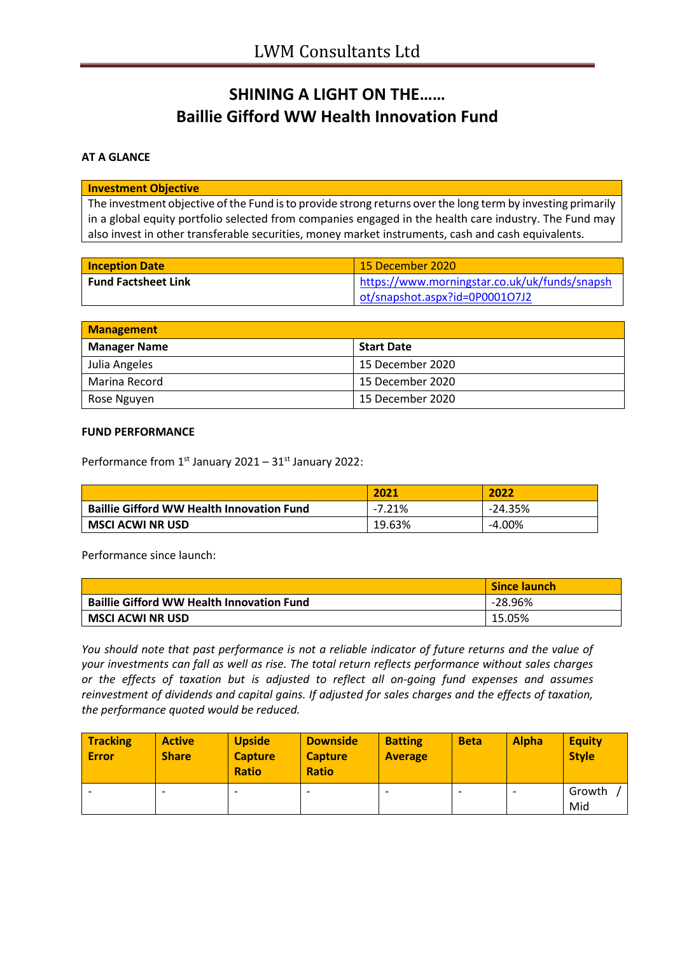# **SHINING A LIGHT ON THE…… Baillie Gifford WW Health Innovation Fund**

## **AT A GLANCE**

#### **Investment Objective**

The investment objective of the Fund is to provide strong returns over the long term by investing primarily in a global equity portfolio selected from companies engaged in the health care industry. The Fund may also invest in other transferable securities, money market instruments, cash and cash equivalents.

| <b>Inception Date</b>      | 15 December 2020                              |
|----------------------------|-----------------------------------------------|
| <b>Fund Factsheet Link</b> | https://www.morningstar.co.uk/uk/funds/snapsh |
|                            | ot/snapshot.aspx?id=0P0001O7J2                |

| <b>Management</b>   |                   |  |
|---------------------|-------------------|--|
| <b>Manager Name</b> | <b>Start Date</b> |  |
| Julia Angeles       | 15 December 2020  |  |
| Marina Record       | 15 December 2020  |  |
| Rose Nguyen         | 15 December 2020  |  |

#### **FUND PERFORMANCE**

Performance from 1<sup>st</sup> January 2021 - 31<sup>st</sup> January 2022:

|                                                  | 2021     | 2022      |
|--------------------------------------------------|----------|-----------|
| <b>Baillie Gifford WW Health Innovation Fund</b> | $-7.21%$ | $-24.35%$ |
| <b>MSCI ACWI NR USD</b>                          | 19.63%   | $-4.00\%$ |

Performance since launch:

|                                                  | <b>Since launch</b> |
|--------------------------------------------------|---------------------|
| <b>Baillie Gifford WW Health Innovation Fund</b> | $-28.96\%$          |
| <b>MSCI ACWI NR USD</b>                          | 15.05%              |

*You should note that past performance is not a reliable indicator of future returns and the value of your investments can fall as well as rise. The total return reflects performance without sales charges or the effects of taxation but is adjusted to reflect all on-going fund expenses and assumes reinvestment of dividends and capital gains. If adjusted for sales charges and the effects of taxation, the performance quoted would be reduced.*

| <b>Tracking</b><br><b>Error</b> | <b>Active</b><br><b>Share</b> | <b>Upside</b><br><b>Capture</b><br><b>Ratio</b> | <b>Downside</b><br><b>Capture</b><br><b>Ratio</b> | <b>Batting</b><br><b>Average</b> | <b>Beta</b> | <b>Alpha</b> | <b>Equity</b><br><b>Style</b> |
|---------------------------------|-------------------------------|-------------------------------------------------|---------------------------------------------------|----------------------------------|-------------|--------------|-------------------------------|
|                                 | $\overline{\phantom{0}}$      |                                                 | $\overline{\phantom{0}}$                          |                                  |             |              | Growth<br>Mid                 |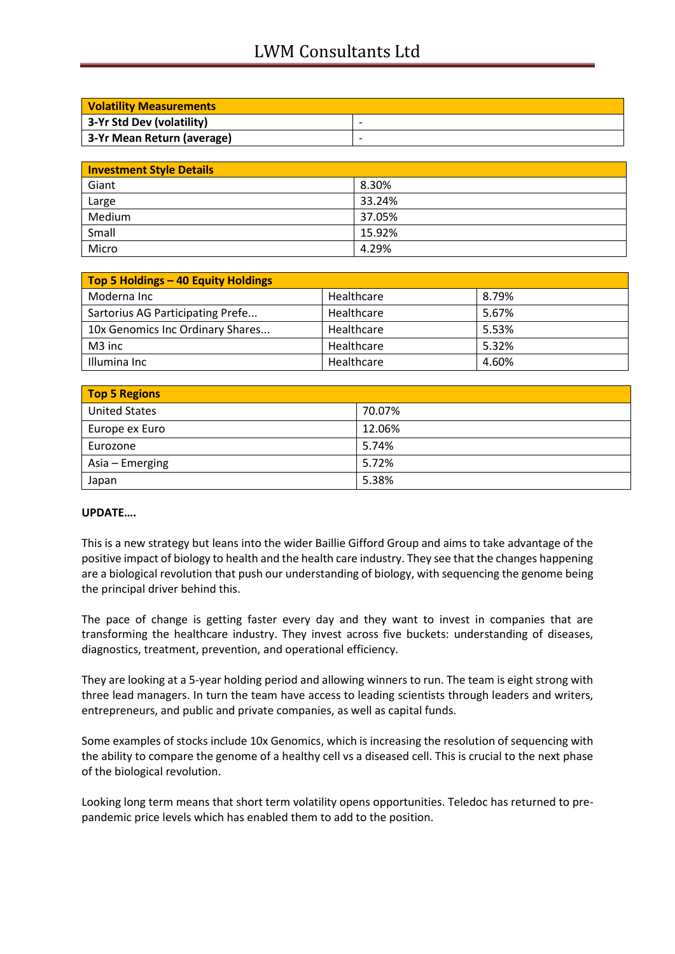## LWM Consultants Ltd

| <b>Volatility Measurements</b> |                          |  |
|--------------------------------|--------------------------|--|
| 3-Yr Std Dev (volatility)      | $\overline{\phantom{0}}$ |  |
| 3-Yr Mean Return (average)     |                          |  |

| <b>Investment Style Details</b> |        |  |
|---------------------------------|--------|--|
| Giant                           | 8.30%  |  |
| Large                           | 33.24% |  |
| Medium                          | 37.05% |  |
| Small                           | 15.92% |  |
| Micro                           | 4.29%  |  |

| Top 5 Holdings - 40 Equity Holdings |            |       |
|-------------------------------------|------------|-------|
| Moderna Inc                         | Healthcare | 8.79% |
| Sartorius AG Participating Prefe    | Healthcare | 5.67% |
| 10x Genomics Inc Ordinary Shares    | Healthcare | 5.53% |
| M3 inc                              | Healthcare | 5.32% |
| Illumina Inc                        | Healthcare | 4.60% |

| <b>Top 5 Regions</b> |        |  |
|----------------------|--------|--|
| <b>United States</b> | 70.07% |  |
| Europe ex Euro       | 12.06% |  |
| Eurozone             | 5.74%  |  |
| Asia – Emerging      | 5.72%  |  |
| Japan                | 5.38%  |  |

## **UPDATE….**

This is a new strategy but leans into the wider Baillie Gifford Group and aims to take advantage of the positive impact of biology to health and the health care industry. They see that the changes happening are a biological revolution that push our understanding of biology, with sequencing the genome being the principal driver behind this.

The pace of change is getting faster every day and they want to invest in companies that are transforming the healthcare industry. They invest across five buckets: understanding of diseases, diagnostics, treatment, prevention, and operational efficiency.

They are looking at a 5-year holding period and allowing winners to run. The team is eight strong with three lead managers. In turn the team have access to leading scientists through leaders and writers, entrepreneurs, and public and private companies, as well as capital funds.

Some examples of stocks include 10x Genomics, which is increasing the resolution of sequencing with the ability to compare the genome of a healthy cell vs a diseased cell. This is crucial to the next phase of the biological revolution.

Looking long term means that short term volatility opens opportunities. Teledoc has returned to prepandemic price levels which has enabled them to add to the position.